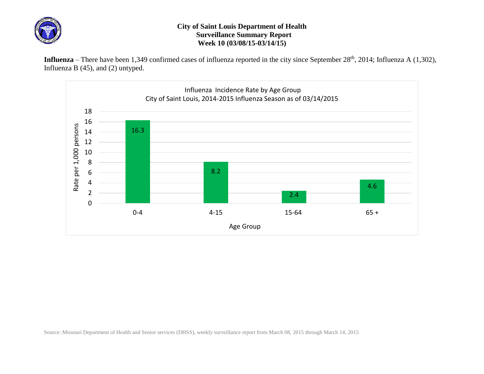

## **City of Saint Louis Department of Health Surveillance Summary Report Week 10 (03/08/15-03/14/15)**

Influenza – There have been 1,349 confirmed cases of influenza reported in the city since September 28<sup>th</sup>, 2014; Influenza A (1,302), Influenza B (45), and (2) untyped.